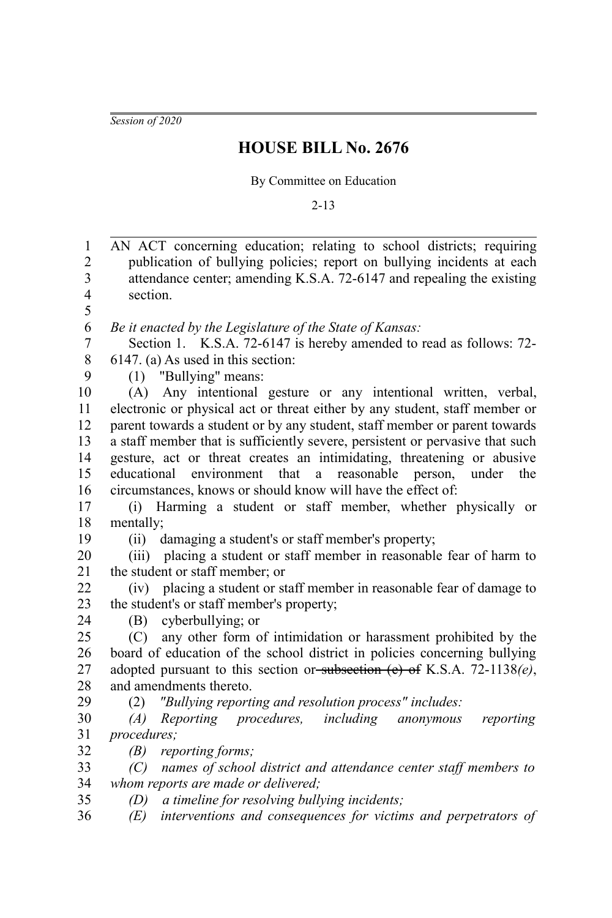*Session of 2020*

## **HOUSE BILL No. 2676**

By Committee on Education

2-13

| $\mathbf{1}$            | AN ACT concerning education; relating to school districts; requiring          |
|-------------------------|-------------------------------------------------------------------------------|
| $\overline{c}$          | publication of bullying policies; report on bullying incidents at each        |
| $\overline{\mathbf{3}}$ | attendance center; amending K.S.A. 72-6147 and repealing the existing         |
| $\overline{4}$          | section.                                                                      |
| 5                       |                                                                               |
| 6                       | Be it enacted by the Legislature of the State of Kansas:                      |
| 7                       | Section 1. K.S.A. 72-6147 is hereby amended to read as follows: 72-           |
| $\,8\,$                 | 6147. (a) As used in this section:                                            |
| 9                       | (1) "Bullying" means:                                                         |
| 10                      | (A) Any intentional gesture or any intentional written, verbal,               |
| 11                      | electronic or physical act or threat either by any student, staff member or   |
| 12                      | parent towards a student or by any student, staff member or parent towards    |
| 13                      | a staff member that is sufficiently severe, persistent or pervasive that such |
| 14                      | gesture, act or threat creates an intimidating, threatening or abusive        |
| 15                      | educational<br>environment that<br>a reasonable person,<br>under<br>the       |
| 16                      | circumstances, knows or should know will have the effect of:                  |
| 17                      | (i) Harming a student or staff member, whether physically or                  |
| 18                      | mentally;                                                                     |
| 19                      | (ii) damaging a student's or staff member's property;                         |
| 20                      | (iii) placing a student or staff member in reasonable fear of harm to         |
| 21                      | the student or staff member; or                                               |
| 22                      | (iv) placing a student or staff member in reasonable fear of damage to        |
| 23                      | the student's or staff member's property;                                     |
| 24                      | cyberbullying; or<br>(B)                                                      |
| 25                      | (C) any other form of intimidation or harassment prohibited by the            |
| 26                      | board of education of the school district in policies concerning bullying     |
| 27                      | adopted pursuant to this section or-subsection (e) of K.S.A. 72-1138 $(e)$ ,  |
| 28                      | and amendments thereto.                                                       |
| 29                      | "Bullying reporting and resolution process" includes:<br>(2)                  |
| 30                      | Reporting procedures,<br>including anonymous<br>reporting<br>(A)              |
| 31                      | procedures;                                                                   |
| 32                      | (B)<br>reporting forms;                                                       |
| 33                      | names of school district and attendance center staff members to<br>(C)        |
| 34                      | whom reports are made or delivered;                                           |
| 35                      | a timeline for resolving bullying incidents;<br>(D)                           |
| 36                      | interventions and consequences for victims and perpetrators of<br>(E)         |
|                         |                                                                               |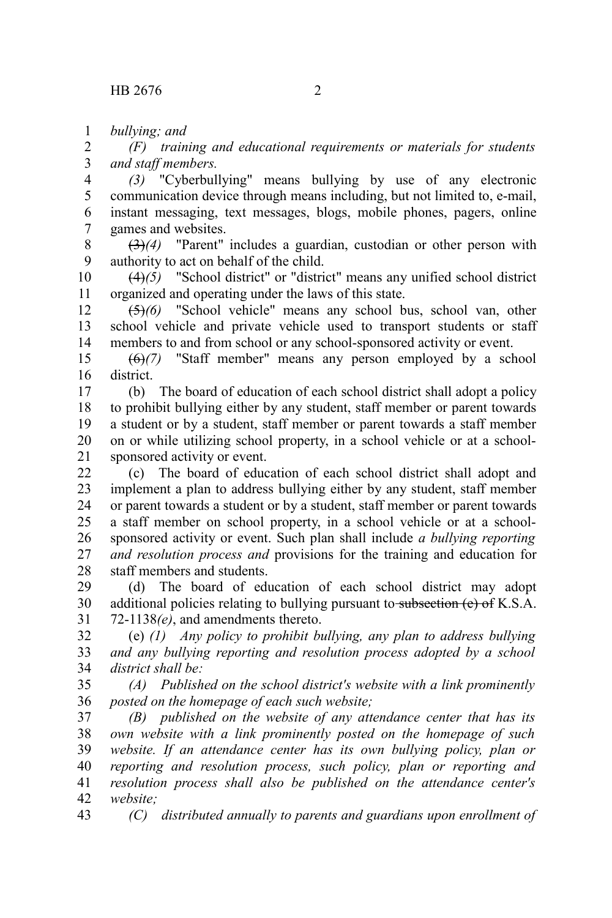*bullying; and* 1

*(F) training and educational requirements or materials for students and staff members.* 2 3

*(3)* "Cyberbullying" means bullying by use of any electronic communication device through means including, but not limited to, e-mail, instant messaging, text messages, blogs, mobile phones, pagers, online games and websites. 4 5 6 7

(3)*(4)* "Parent" includes a guardian, custodian or other person with authority to act on behalf of the child. 8 9

(4)*(5)* "School district" or "district" means any unified school district organized and operating under the laws of this state. 10 11

(5)*(6)* "School vehicle" means any school bus, school van, other school vehicle and private vehicle used to transport students or staff members to and from school or any school-sponsored activity or event. 12 13 14

(6)*(7)* "Staff member" means any person employed by a school district. 15 16

(b) The board of education of each school district shall adopt a policy to prohibit bullying either by any student, staff member or parent towards a student or by a student, staff member or parent towards a staff member on or while utilizing school property, in a school vehicle or at a schoolsponsored activity or event. 17 18 19 20 21

(c) The board of education of each school district shall adopt and implement a plan to address bullying either by any student, staff member or parent towards a student or by a student, staff member or parent towards a staff member on school property, in a school vehicle or at a schoolsponsored activity or event. Such plan shall include *a bullying reporting and resolution process and* provisions for the training and education for staff members and students.  $22$ 23 24 25 26 27 28

(d) The board of education of each school district may adopt additional policies relating to bullying pursuant to subsection (e) of K.S.A. 72-1138*(e)*, and amendments thereto. 29 30 31

(e) *(1) Any policy to prohibit bullying, any plan to address bullying and any bullying reporting and resolution process adopted by a school district shall be:* 32 33 34

*(A) Published on the school district's website with a link prominently posted on the homepage of each such website;* 35 36

*(B) published on the website of any attendance center that has its own website with a link prominently posted on the homepage of such website. If an attendance center has its own bullying policy, plan or reporting and resolution process, such policy, plan or reporting and resolution process shall also be published on the attendance center's website;* 37 38 39 40 41 42

*(C) distributed annually to parents and guardians upon enrollment of* 43